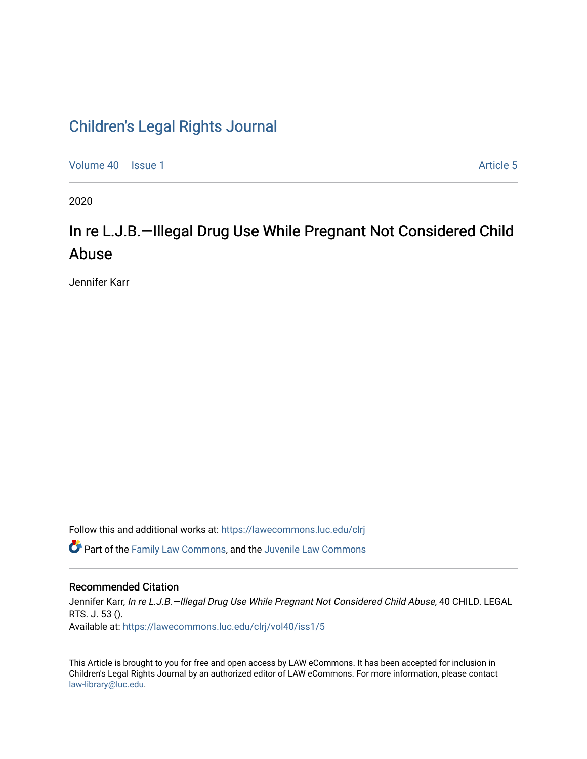## [Children's Legal Rights Journal](https://lawecommons.luc.edu/clrj)

[Volume 40](https://lawecommons.luc.edu/clrj/vol40) | [Issue 1](https://lawecommons.luc.edu/clrj/vol40/iss1) Article 5

2020

# In re L.J.B.—Illegal Drug Use While Pregnant Not Considered Child Abuse

Jennifer Karr

Follow this and additional works at: [https://lawecommons.luc.edu/clrj](https://lawecommons.luc.edu/clrj?utm_source=lawecommons.luc.edu%2Fclrj%2Fvol40%2Fiss1%2F5&utm_medium=PDF&utm_campaign=PDFCoverPages)

**C** Part of the [Family Law Commons,](http://network.bepress.com/hgg/discipline/602?utm_source=lawecommons.luc.edu%2Fclrj%2Fvol40%2Fiss1%2F5&utm_medium=PDF&utm_campaign=PDFCoverPages) and the Juvenile Law Commons

#### Recommended Citation

Jennifer Karr, In re L.J.B.-Illegal Drug Use While Pregnant Not Considered Child Abuse, 40 CHILD. LEGAL RTS. J. 53 (). Available at: [https://lawecommons.luc.edu/clrj/vol40/iss1/5](https://lawecommons.luc.edu/clrj/vol40/iss1/5?utm_source=lawecommons.luc.edu%2Fclrj%2Fvol40%2Fiss1%2F5&utm_medium=PDF&utm_campaign=PDFCoverPages) 

This Article is brought to you for free and open access by LAW eCommons. It has been accepted for inclusion in Children's Legal Rights Journal by an authorized editor of LAW eCommons. For more information, please contact [law-library@luc.edu](mailto:law-library@luc.edu).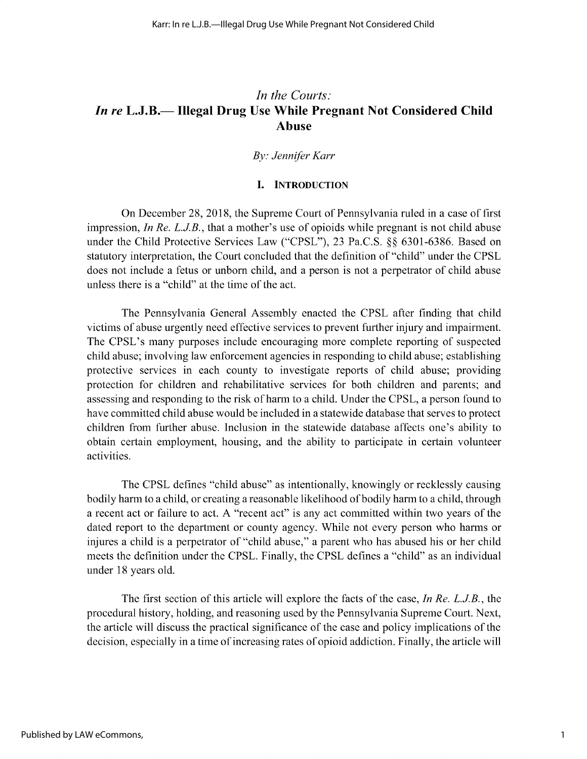### *In the Courts: In re* L.J.B. - Illegal Drug Use While Pregnant Not Considered Child **Abuse**

#### *By: Jennifer Karr*

#### **. INTRODUCTION**

On December 28, 2018, the Supreme Court of Pennsylvania ruled in a case of first impression, *In Re. L.J.B.,* that a mother's use of opioids while pregnant is not child abuse under the Child Protective Services Law ("CPSL"), 23 Pa.C.S. *§§* 6301-6386. Based on statutory interpretation, the Court concluded that the definition of "child" under the CPSL does not include a fetus or unborn child, and a person is not a perpetrator of child abuse unless there is a "child" at the time of the act.

The Pennsylvania General Assembly enacted the CPSL after finding that child victims of abuse urgently need effective services to prevent further injury and impairment. The CPSL's many purposes include encouraging more complete reporting of suspected child abuse; involving law enforcement agencies in responding to child abuse; establishing protective services in each county to investigate reports of child abuse; providing protection for children and rehabilitative services for both children and parents; and assessing and responding to the risk of harm to a child. Under the CPSL, a person found to have committed child abuse would be included in a statewide database that serves to protect children from further abuse. Inclusion in the statewide database affects one's ability to obtain certain employment, housing, and the ability to participate in certain volunteer activities.

The CPSL defines "child abuse" as intentionally, knowingly or recklessly causing bodily harm to a child, or creating a reasonable likelihood of bodily harm to a child, through a recent act or failure to act. A "recent act" is any act committed within two years of the dated report to the department or county agency. While not every person who harms or injures a child is a perpetrator of "child abuse," a parent who has abused his or her child meets the definition under the CPSL. Finally, the CPSL defines a "child" as an individual under 18 years old.

The first section of this article will explore the facts of the case, *In Re. L.J.B.,* the procedural history, holding, and reasoning used by the Pennsylvania Supreme Court. Next, the article will discuss the practical significance of the case and policy implications of the decision, especially in a time of increasing rates of opioid addiction. Finally, the article will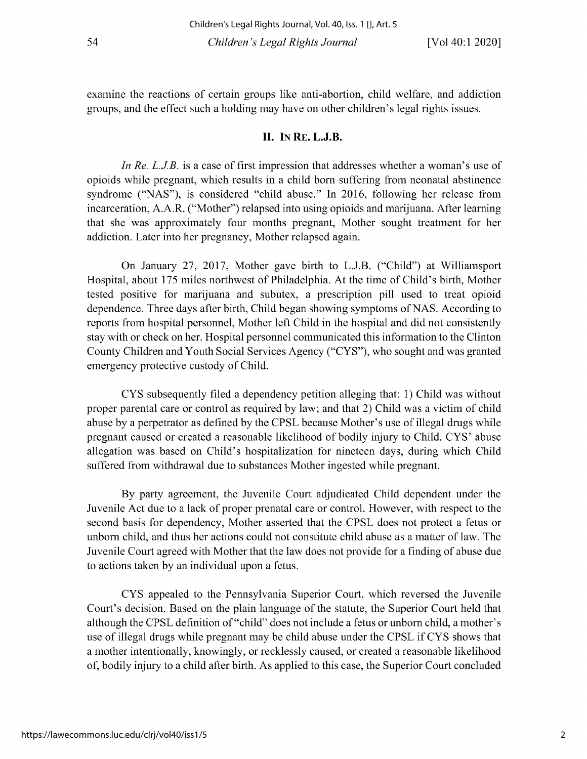**examine the reactions of certain groups like anti-abortion, child welfare, and addiction** groups, and the effect such a holding may have on other children's legal rights issues.

#### **II. IN RE. L.J.B.**

*In Re. L.J.B.* **is a case of first impression that addresses whether a woman's use of opioids while pregnant, which results in a child born suffering from neonatal abstinence** syndrome ("NAS"), is considered "child abuse." In 2016, following her release from **incarceration,** A.A.R. ("Mother") **relapsed into using opioids and marijuana.** After **learning that she was approximately four months pregnant, Mother sought treatment for her addiction. Later into her pregnancy, Mother relapsed again.**

On January 27, 2017, Mother gave birth to L.J.B. ("Child") at Williamsport Hospital, about *175* miles northwest of Philadelphia. At the time of Child's birth, Mother **tested positive for marijuana and subutex, a prescription pill used to treat opioid** dependence. Three days after birth, Child began showing symptoms of NAS. According to reports from hospital personnel, Mother left Child in the hospital and did not consistently stay with or check on her. Hospital personnel communicated this information to the Clinton County Children and Youth Social Services Agency ("CYS"), who sought and was granted emergency protective custody of Child.

CYS subsequently filed a dependency petition alleging that: 1) Child was without **proper parental care or control as required by law; and that 2) Child was a victim of child** abuse by a perpetrator as defined by the CPSL because Mother's use of illegal drugs while pregnant caused or created a reasonable likelihood of bodily injury to Child. CYS' abuse **allegation was based on Child's hospitalization for nineteen days, during which Child suffered from withdrawal due to substances Mother ingested while pregnant.**

By party agreement, the Juvenile Court adjudicated Child dependent under the Juvenile Act due to a lack of proper prenatal care or control. However, with respect to the second basis for dependency, Mother asserted that the CPSL does not protect a fetus or **unborn child, and thus her actions could not constitute child abuse as a matter of law. The** Juvenile Court agreed with Mother that the law does not provide for a finding of abuse due **to actions taken by an individual upon a fetus.**

CYS appealed to the Pennsylvania Superior Court, which reversed the Juvenile Court's decision. Based on the plain language of the statute, the Superior Court held that although the CPSL definition of "child" does not include a fetus or unborn child, a mother's use of illegal drugs while pregnant may be child abuse under the CPSL if CYS shows that **a mother intentionally, knowingly, or recklessly caused, or created a reasonable likelihood** of, bodily injury to a child after birth. As applied to this case, the Superior Court concluded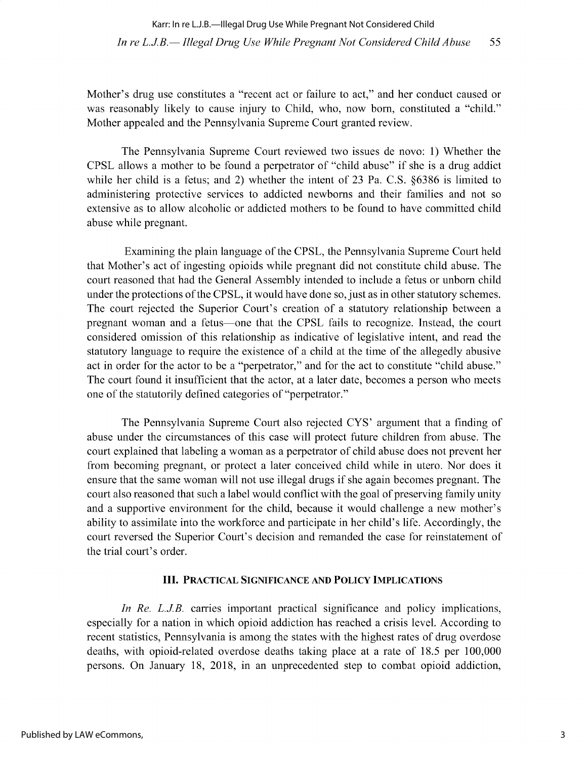**Mother's drug use constitutes a "recent act or failure to act," and her conduct caused or** was reasonably likely to cause injury to Child, who, now born, constituted a "child." Mother appealed and the Pennsylvania Supreme Court granted review.

The Pennsylvania Supreme Court reviewed two issues de novo: 1) Whether the **CPSL allows a mother to be found a perpetrator of "child abuse" if she is a drug addict** while her child is a fetus; and 2) whether the intent of 23 Pa. C.S. §6386 is limited to **administering protective services to addicted newborns and their families and not so** extensive as to allow alcoholic or addicted mothers to be found to have committed child abuse while pregnant.

Examining the plain language of the CPSL, the Pennsylvania Supreme Court held that Mother's act of ingesting opioids while pregnant did not constitute child abuse. The court reasoned that had the General Assembly intended to include a fetus or unborn child under the protections of the CPSL, it would have done so, just as in other statutory schemes. The court rejected the Superior Court's creation of a statutory relationship between a **pregnant woman and a fetus-one that the CPSL fails to recognize. Instead, the court considered omission of this relationship as indicative of legislative intent, and read the** statutory language to require the existence of a child at the time of the allegedly abusive **act in order for the actor to be a "perpetrator," and for the act to constitute "child abuse."** The court found it insufficient that the actor, at a later date, becomes a person who meets one of the statutorily defined categories of "perpetrator."

The Pennsylvania Supreme Court also rejected CYS' argument that a finding of abuse under the circumstances of this case will protect future children from abuse. The **court explained that labeling a woman as a perpetrator of child abuse does not prevent her from becoming pregnant, or protect a later conceived child while in utero. Nor does it ensure that the same woman will not use illegal drugs if she again becomes pregnant. The** court also reasoned that such a label would conflict with the goal of preserving family unity **and a supportive environment for the child, because it would challenge a new mother's** ability to assimilate into the workforce and participate in her child's life. Accordingly, the **court reversed the Superior Court's decision and remanded the case for reinstatement of the trial court's order.**

#### **III. PRACTICAL SIGNIFICANCE AND POLICY IMPLICATIONS**

*In Re. L.J.B.* **carries important practical significance and policy implications,** especially for a nation in which opioid addiction has reached a crisis level. According to recent statistics, Pennsylvania is among the states with the highest rates of drug overdose deaths, with opioid-related overdose deaths taking place at a rate of 18.5 per 100,000 **persons. On January 18, 2018, in an unprecedented step to combat opioid addiction,**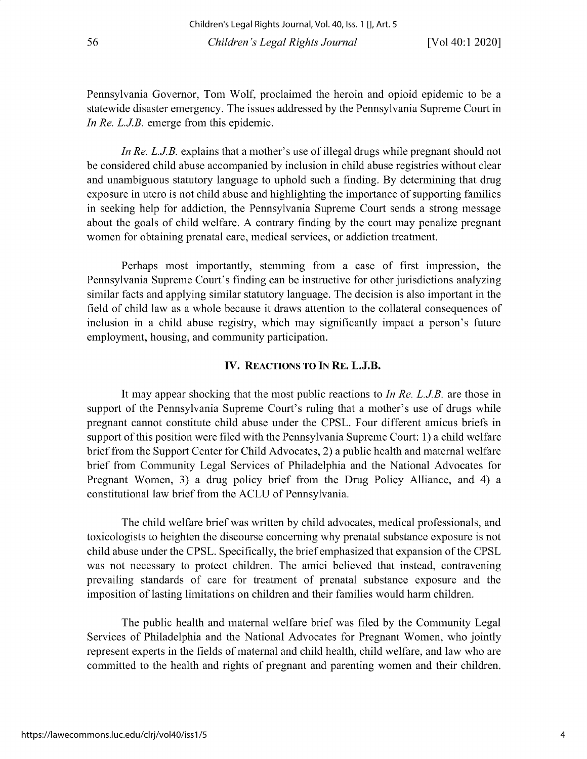Pennsylvania Governor, Tom Wolf, proclaimed the heroin and opioid epidemic to be a statewide disaster emergency. The issues addressed by the Pennsylvania Supreme Court in *In Re. L.J.B.* emerge from this epidemic.

*In Re. L.J.B.* explains that a mother's use of illegal drugs while pregnant should not be considered child abuse accompanied by inclusion in child abuse registries without clear and unambiguous statutory language to uphold such a finding. By determining that drug exposure in utero is not child abuse and highlighting the importance of supporting families in seeking help for addiction, the Pennsylvania Supreme Court sends a strong message about the goals of child welfare. A contrary finding by the court may penalize pregnant women for obtaining prenatal care, medical services, or addiction treatment.

Perhaps most importantly, stemming from a case of first impression, the Pennsylvania Supreme Court's finding can be instructive for other jurisdictions analyzing similar facts and applying similar statutory language. The decision is also important in the field of child law as a whole because it draws attention to the collateral consequences of inclusion in a child abuse registry, which may significantly impact a person's future employment, housing, and community participation.

#### **IV. REACTIONS TO IN RE. L.J.B.**

It may appear shocking that the most public reactions to *In Re. L.J.B.* are those in support of the Pennsylvania Supreme Court's ruling that a mother's use of drugs while pregnant cannot constitute child abuse under the CPSL. Four different amicus briefs in support of this position were filed with the Pennsylvania Supreme Court: 1) a child welfare brief from the Support Center for Child Advocates, 2) a public health and maternal welfare brief from Community Legal Services of Philadelphia and the National Advocates for Pregnant Women, 3) a drug policy brief from the Drug Policy Alliance, and 4) a constitutional law brief from the ACLU of Pennsylvania.

The child welfare brief was written by child advocates, medical professionals, and toxicologists to heighten the discourse concerning why prenatal substance exposure is not child abuse under the CPSL. Specifically, the brief emphasized that expansion of the CPSL was not necessary to protect children. The amici believed that instead, contravening prevailing standards of care for treatment of prenatal substance exposure and the imposition of lasting limitations on children and their families would harm children.

The public health and maternal welfare brief was filed by the Community Legal Services of Philadelphia and the National Advocates for Pregnant Women, who jointly represent experts in the fields of maternal and child health, child welfare, and law who are committed to the health and rights of pregnant and parenting women and their children.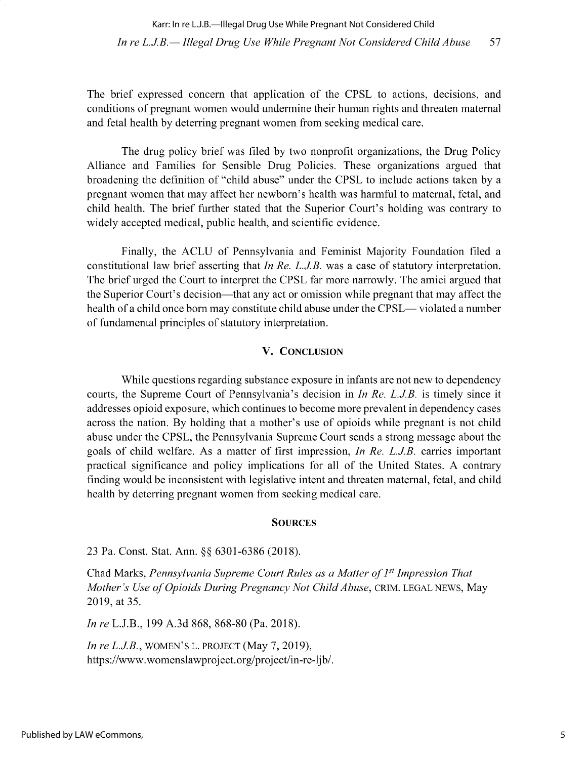The brief **expressed concern that application** of the CPSL **to actions, decisions, and conditions of pregnant women would undermine their human rights and threaten maternal and fetal health by deterring pregnant women from seeking medical care.**

The drug policy brief was filed by two nonprofit organizations, the Drug Policy Alliance and Families for Sensible Drug Policies. These organizations argued that broadening the definition of "child abuse" under the CPSL to include actions taken by a pregnant women that may affect her newborn's health was harmful to maternal, fetal, and child health. The brief further stated that the Superior Court's holding was contrary to widely accepted medical, public health, and scientific evidence.

Finally, the ACLU of Pennsylvania and Feminist Majority Foundation filed a constitutional law brief asserting that *In Re. L.J.B.* was a case of statutory interpretation. The brief urged the Court to interpret the CPSL far more narrowly. The amici argued that the Superior Court's decision-that any act or omission while pregnant that may affect the health of a child once born may constitute child abuse under the CPSL— violated a number **of fundamental principles of statutory interpretation.**

#### **V. CONCLUSION**

**While questions regarding substance exposure in infants are not new to dependency** courts, the Supreme Court of Pennsylvania's decision in *In Re. L.J.B.* is timely since it **addresses opioid exposure,** which **continues to become more prevalent in dependency cases across the nation. By holding that a mother's use of opioids while pregnant is not child abuse under the CPSL, the Pennsylvania Supreme Court sends a strong message about the goals of child welfare. As a matter of first impression,** *In Re. L.J.B.* **carries important** practical significance and policy implications for all of the United States. A contrary **finding would be inconsistent with legislative intent and threaten maternal, fetal, and child** health by **deterring pregnant women from seeking medical care.**

#### **SOURCES**

23 Pa. Const. Stat. Ann. §§ 6301-6386 (2018).

Chad Marks, *Pennsylvania Supreme Court Rules as a Matter of 't Impression That Mother's Use of Opioids During Pregnancy Not Child Abuse, CRIM. LEGAL NEWS, May* 2019, at *35.*

*In re* **L.J.B., 199 A.3d 868, 868-80 (Pa. 2018).**

*In re L.J.B.,* WOMEN'S L. PROJECT (May 7, 2019), https://www.womenslawproject.org/project/in-re-ljb/.